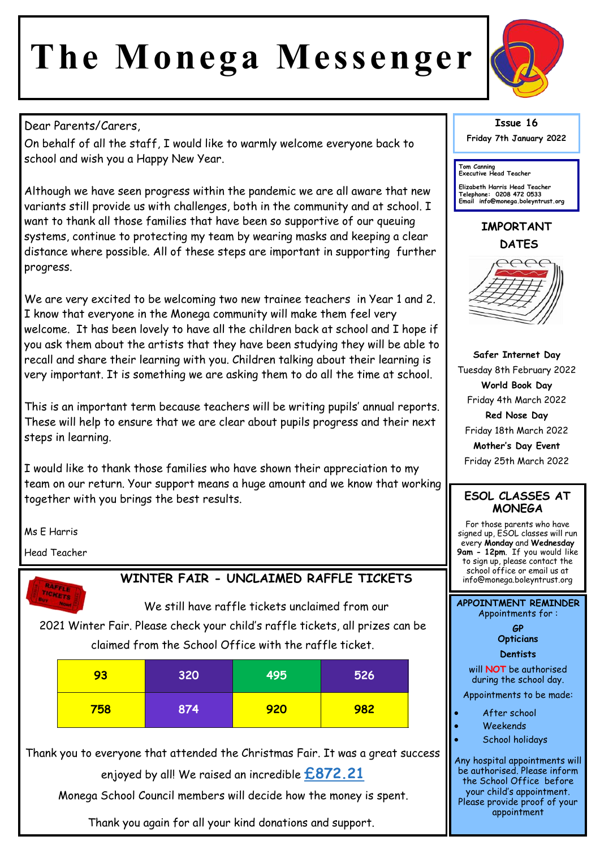# **The Monega Messenger**



### Dear Parents/Carers,

On behalf of all the staff, I would like to warmly welcome everyone back to school and wish you a Happy New Year.

Although we have seen progress within the pandemic we are all aware that new variants still provide us with challenges, both in the community and at school. I want to thank all those families that have been so supportive of our queuing systems, continue to protecting my team by wearing masks and keeping a clear distance where possible. All of these steps are important in supporting further progress.

We are very excited to be welcoming two new trainee teachers in Year 1 and 2. I know that everyone in the Monega community will make them feel very welcome. It has been lovely to have all the children back at school and I hope if you ask them about the artists that they have been studying they will be able to recall and share their learning with you. Children talking about their learning is very important. It is something we are asking them to do all the time at school.

This is an important term because teachers will be writing pupils' annual reports. These will help to ensure that we are clear about pupils progress and their next steps in learning.

I would like to thank those families who have shown their appreciation to my team on our return. Your support means a huge amount and we know that working together with you brings the best results.

Ms E Harris

Head Teacher



## **WINTER FAIR - UNCLAIMED RAFFLE TICKETS**

We still have raffle tickets unclaimed from our 2021 Winter Fair. Please check your child's raffle tickets, all prizes can be claimed from the School Office with the raffle ticket.

| 93  | 320 | 495 | 526 |
|-----|-----|-----|-----|
| 758 | 874 | 920 | 982 |

Thank you to everyone that attended the Christmas Fair. It was a great success enjoyed by all! We raised an incredible **£872.21** 

Monega School Council members will decide how the money is spent.

Thank you again for all your kind donations and support.

#### **Issue 16 Friday 7th January 2022**

**Tom Canning Executive Head Teacher**

**Elizabeth Harris Head Teacher Telephone: 0208 472 0533 Email info@monega.boleyntrust.org** 

## **IMPORTANT DATES**



**Safer Internet Day**  Tuesday 8th February 2022 **World Book Day**  Friday 4th March 2022 **Red Nose Day**  Friday 18th March 2022 **Mother's Day Event**  Friday 25th March 2022

#### **ESOL CLASSES AT MONEGA**

For those parents who have signed up, ESOL classes will run every **Monday** and **Wednesday 9am - 12pm**. If you would like to sign up, please contact the school office or email us at info@monega.boleyntrust.org

**APPOINTMENT REMINDER** Appointments for :

> **GP Opticians**

**Dentists** 

will **NOT** be authorised during the school day.

Appointments to be made:

- After school
- Weekends
- School holidays

Any hospital appointments will be authorised. Please inform the School Office before your child's appointment. Please provide proof of your appointment